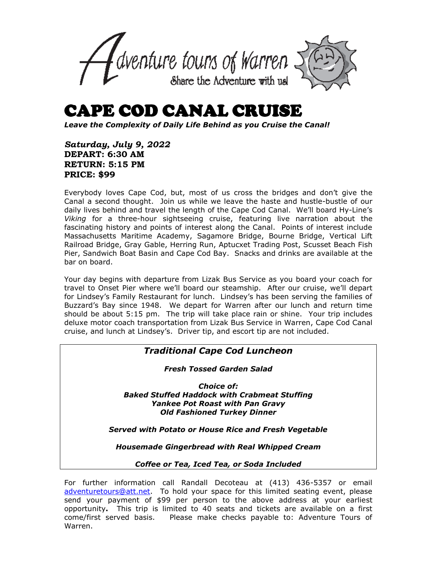

## CAPE COD CANAL CRUISE

*Leave the Complexity of Daily Life Behind as you Cruise the Canal!*

*Saturday, July 9, 2022* **DEPART: 6:30 AM RETURN: 5:15 PM PRICE: \$99**

Everybody loves Cape Cod, but, most of us cross the bridges and don't give the Canal a second thought. Join us while we leave the haste and hustle-bustle of our daily lives behind and travel the length of the Cape Cod Canal. We'll board Hy-Line's *Viking* for a three-hour sightseeing cruise, featuring live narration about the fascinating history and points of interest along the Canal. Points of interest include Massachusetts Maritime Academy, Sagamore Bridge, Bourne Bridge, Vertical Lift Railroad Bridge, Gray Gable, Herring Run, Aptucxet Trading Post, Scusset Beach Fish Pier, Sandwich Boat Basin and Cape Cod Bay. Snacks and drinks are available at the bar on board.

Your day begins with departure from Lizak Bus Service as you board your coach for travel to Onset Pier where we'll board our steamship. After our cruise, we'll depart for Lindsey's Family Restaurant for lunch. Lindsey's has been serving the families of Buzzard's Bay since 1948. We depart for Warren after our lunch and return time should be about 5:15 pm. The trip will take place rain or shine. Your trip includes deluxe motor coach transportation from Lizak Bus Service in Warren, Cape Cod Canal cruise, and lunch at Lindsey's. Driver tip, and escort tip are not included.

## *Traditional Cape Cod Luncheon*

*Fresh Tossed Garden Salad*

*Choice of: Baked Stuffed Haddock with Crabmeat Stuffing Yankee Pot Roast with Pan Gravy Old Fashioned Turkey Dinner*

*Served with Potato or House Rice and Fresh Vegetable* 

*Housemade Gingerbread with Real Whipped Cream*

*Coffee or Tea, Iced Tea, or Soda Included* 

For further information call Randall Decoteau at (413) 436-5357 or email [adventuretours@att.net.](mailto:adventuretours@att.net) To hold your space for this limited seating event, please send your payment of \$99 per person to the above address at your earliest opportunity**.** This trip is limited to 40 seats and tickets are available on a first come/first served basis. Please make checks payable to: Adventure Tours of Warren.